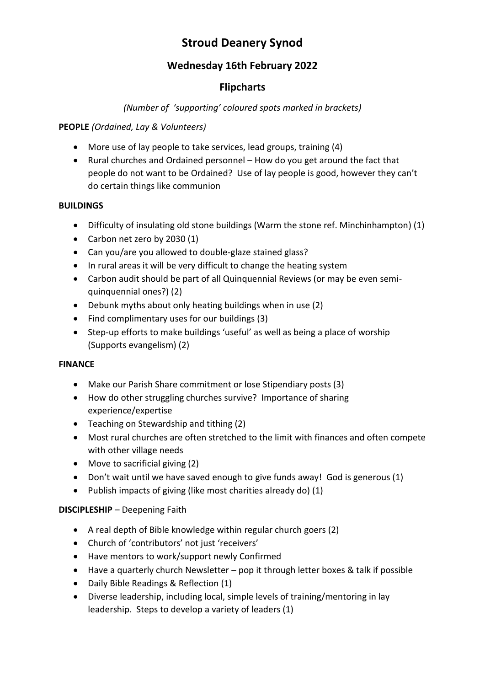# **Stroud Deanery Synod**

## **Wednesday 16th February 2022**

## **Flipcharts**

## *(Number of 'supporting' coloured spots marked in brackets)*

## **PEOPLE** *(Ordained, Lay & Volunteers)*

- More use of lay people to take services, lead groups, training (4)
- Rural churches and Ordained personnel How do you get around the fact that people do not want to be Ordained? Use of lay people is good, however they can't do certain things like communion

### **BUILDINGS**

- Difficulty of insulating old stone buildings (Warm the stone ref. Minchinhampton) (1)
- Carbon net zero by 2030 (1)
- Can you/are you allowed to double-glaze stained glass?
- In rural areas it will be very difficult to change the heating system
- Carbon audit should be part of all Quinquennial Reviews (or may be even semiquinquennial ones?) (2)
- Debunk myths about only heating buildings when in use (2)
- Find complimentary uses for our buildings (3)
- Step-up efforts to make buildings 'useful' as well as being a place of worship (Supports evangelism) (2)

## **FINANCE**

- Make our Parish Share commitment or lose Stipendiary posts (3)
- How do other struggling churches survive? Importance of sharing experience/expertise
- Teaching on Stewardship and tithing (2)
- Most rural churches are often stretched to the limit with finances and often compete with other village needs
- Move to sacrificial giving (2)
- Don't wait until we have saved enough to give funds away! God is generous (1)
- Publish impacts of giving (like most charities already do) (1)

## **DISCIPLESHIP** – Deepening Faith

- A real depth of Bible knowledge within regular church goers (2)
- Church of 'contributors' not just 'receivers'
- Have mentors to work/support newly Confirmed
- Have a quarterly church Newsletter pop it through letter boxes & talk if possible
- Daily Bible Readings & Reflection (1)
- Diverse leadership, including local, simple levels of training/mentoring in lay leadership. Steps to develop a variety of leaders (1)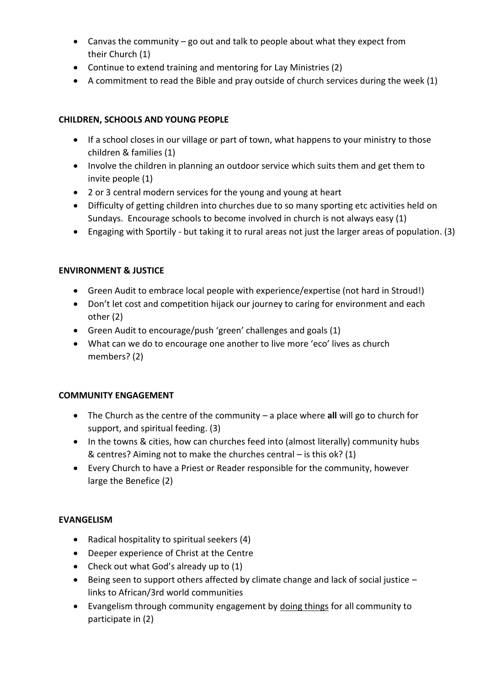- Canvas the community go out and talk to people about what they expect from their Church (1)
- Continue to extend training and mentoring for Lay Ministries (2)
- A commitment to read the Bible and pray outside of church services during the week (1)

### **CHILDREN, SCHOOLS AND YOUNG PEOPLE**

- If a school closes in our village or part of town, what happens to your ministry to those children & families (1)
- Involve the children in planning an outdoor service which suits them and get them to invite people (1)
- 2 or 3 central modern services for the young and young at heart
- Difficulty of getting children into churches due to so many sporting etc activities held on Sundays. Encourage schools to become involved in church is not always easy (1)
- Engaging with Sportily but taking it to rural areas not just the larger areas of population. (3)

#### **ENVIRONMENT & JUSTICE**

- Green Audit to embrace local people with experience/expertise (not hard in Stroud!)
- Don't let cost and competition hijack our journey to caring for environment and each other (2)
- Green Audit to encourage/push 'green' challenges and goals (1)
- What can we do to encourage one another to live more 'eco' lives as church members? (2)

#### **COMMUNITY ENGAGEMENT**

- The Church as the centre of the community a place where **all** will go to church for support, and spiritual feeding. (3)
- In the towns & cities, how can churches feed into (almost literally) community hubs & centres? Aiming not to make the churches central – is this ok? (1)
- Every Church to have a Priest or Reader responsible for the community, however large the Benefice (2)

#### **EVANGELISM**

- Radical hospitality to spiritual seekers (4)
- Deeper experience of Christ at the Centre
- Check out what God's already up to (1)
- Being seen to support others affected by climate change and lack of social justice links to African/3rd world communities
- Evangelism through community engagement by doing things for all community to participate in (2)